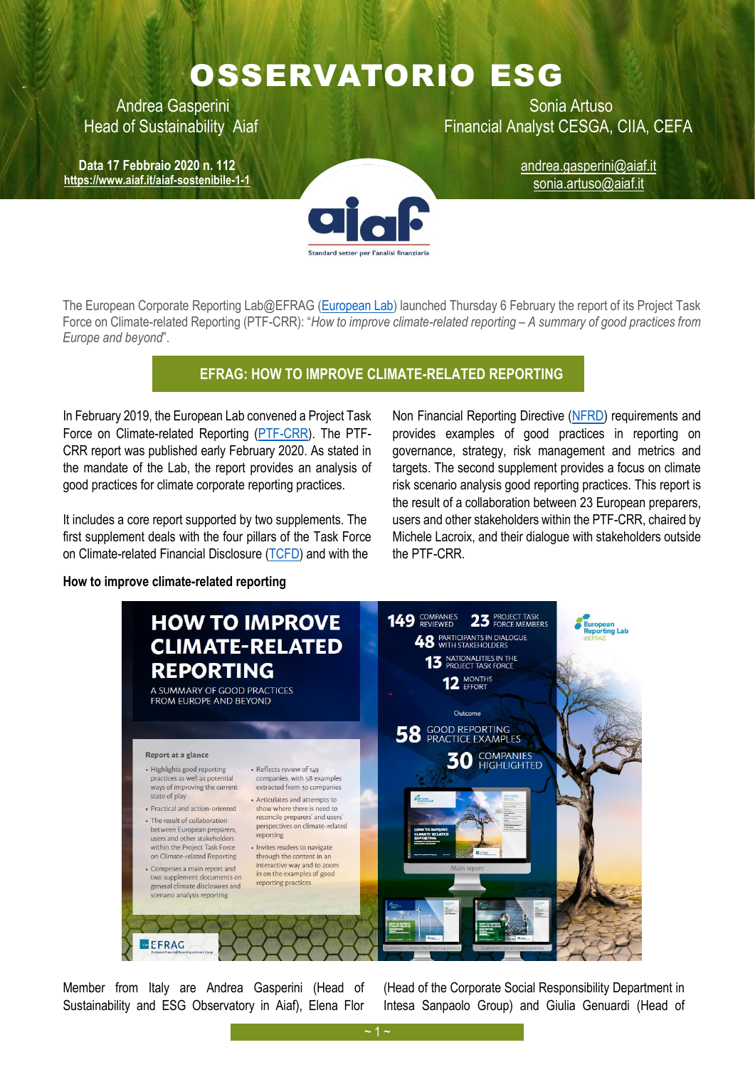## OSSERVATORIO ESG

**Data 17 Febbraio 2020 n. 112 <https://www.aiaf.it/aiaf-sostenibile-1-1>**

Andrea Gasperini **National Artuso** Sonia Artuso Head of Sustainability Aiaf Financial Analyst CESGA, CIIA, CEFA

andrea.gasperini@aiaf.it sonia.artuso@aiaf.it

The European Corporate Reporting Lab@EFRAG [\(European Lab\)](https://www.efrag.org/Activities/1807101446085163/European-Corporate-Reporting-Lab-at-EFRAG) launched Thursday 6 February the report of its Project Task Force on Climate-related Reporting (PTF-CRR): "*How to improve climate-related reporting – A summary of good practices from Europe and beyond*".

## **EFRAG: HOW TO IMPROVE CLIMATE-RELATED REPORTING**

In February 2019, the European Lab convened a Project Task Force on Climate-related Reporting [\(PTF-CRR\)](https://www.efrag.org/(X(1)S(0nh2mregk3wktwplsfskdr4i))/About/Governance/41/European-Lab-PTF-on-Climate-related-Reporting). The PTF-CRR report was published early February 2020. As stated in the mandate of the Lab, the report provides an analysis of good practices for climate corporate reporting practices.

It includes a core report supported by two supplements. The first supplement deals with the four pillars of the Task Force on Climate-related Financial Disclosure [\(TCFD\)](https://www.fsb-tcfd.org/) and with the

Non Financial Reporting Directive [\(NFRD\)](https://ec.europa.eu/info/business-economy-euro/company-reporting-and-auditing/company-reporting/non-financial-reporting_en) requirements and provides examples of good practices in reporting on governance, strategy, risk management and metrics and targets. The second supplement provides a focus on climate risk scenario analysis good reporting practices. This report is the result of a collaboration between 23 European preparers, users and other stakeholders within the PTF-CRR, chaired by Michele Lacroix, and their dialogue with stakeholders outside the PTF-CRR.

## **How to improve climate-related reporting**



Member from Italy are Andrea Gasperini (Head of Sustainability and ESG Observatory in Aiaf), Elena Flor (Head of the Corporate Social Responsibility Department in Intesa Sanpaolo Group) and Giulia Genuardi (Head of